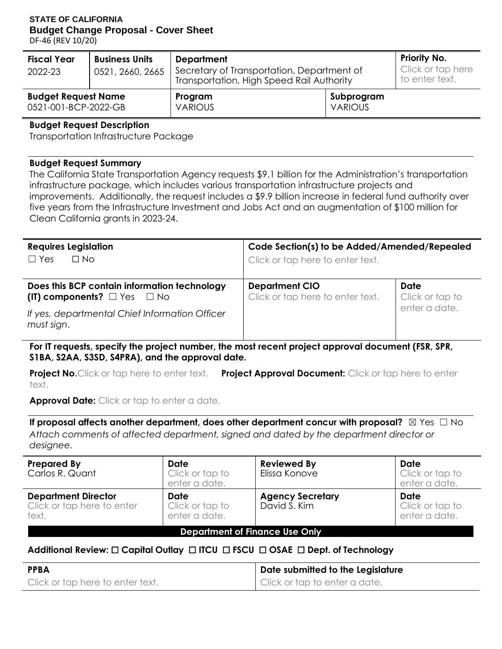## **STATE OF CALIFORNIA Budget Change Proposal - Cover Sheet**

DF-46 (REV 10/20)

| <b>Fiscal Year</b>                                 | <b>Business Units</b> | <b>Department</b>                                                                       | <b>Priority No.</b>                 |  |  |
|----------------------------------------------------|-----------------------|-----------------------------------------------------------------------------------------|-------------------------------------|--|--|
| 2022-23                                            | 0521, 2660, 2665      | Secretary of Transportation, Department of<br>Transportation, High Speed Rail Authority | Click or tap here<br>to enter text. |  |  |
| <b>Budget Request Name</b><br>0521-001-BCP-2022-GB |                       | Program<br><b>VARIOUS</b>                                                               | Subprogram<br><b>VARIOUS</b>        |  |  |

#### **Budget Request Description**

Transportation Infrastructure Package

#### **Budget Request Summary**

 The California State Transportation Agency requests \$9.1 billion for the Administration's transportation improvements. Additionally, the request includes a \$9.9 billion increase in federal fund authority over infrastructure package, which includes various transportation infrastructure projects and five years from the Infrastructure Investment and Jobs Act and an augmentation of \$100 million for Clean California grants in 2023-24.

| <b>Requires Legislation</b><br>$\Box$ No<br>$\Box$ Yes                                      | Code Section(s) to be Added/Amended/Repealed<br>Click or tap here to enter text. |                         |  |
|---------------------------------------------------------------------------------------------|----------------------------------------------------------------------------------|-------------------------|--|
| Does this BCP contain information technology<br>(IT) components? $\square$ Yes $\square$ No | <b>Department CIO</b><br>Click or tap here to enter text.                        | Date<br>Click or tap to |  |
| If yes, departmental Chief Information Officer<br>must sign.                                |                                                                                  | enter a date.           |  |

**For IT requests, specify the project number, the most recent project approval document (FSR, SPR, S1BA, S2AA, S3SD, S4PRA), and the approval date.** 

**Project No.** Click or tap here to enter text. **Project Approval Document:** Click or tap here to enter text.

Approval Date: Click or tap to enter a date.

**If proposal affects another department, does other department concur with proposal? ⊠ Yes □ No** *Attach comments of affected department, signed and dated by the department director or designee.* 

| <b>Prepared By</b><br>Carlos R. Quant                             | <b>Date</b><br>Click or tap to<br>enter a date. | <b>Reviewed By</b><br>Elissa Konove     | Date<br>Click or tap to<br>enter a date. |  |  |  |
|-------------------------------------------------------------------|-------------------------------------------------|-----------------------------------------|------------------------------------------|--|--|--|
| <b>Department Director</b><br>Click or tap here to enter<br>text. | Date<br>Click or tap to<br>enter a date.        | <b>Agency Secretary</b><br>David S. Kim | Date<br>Click or tap to<br>enter a date. |  |  |  |
| <b>Department of Finance Use Only</b>                             |                                                 |                                         |                                          |  |  |  |

## **Additional Review:** ☐ **Capital Outlay** ☐ **ITCU** ☐ **FSCU** ☐ **OSAE** ☐ **Dept. of Technology**

| <b>PPBA</b>                      | Date submitted to the Legislature |
|----------------------------------|-----------------------------------|
| Click or tap here to enter text. | Click or tap to enter a date.     |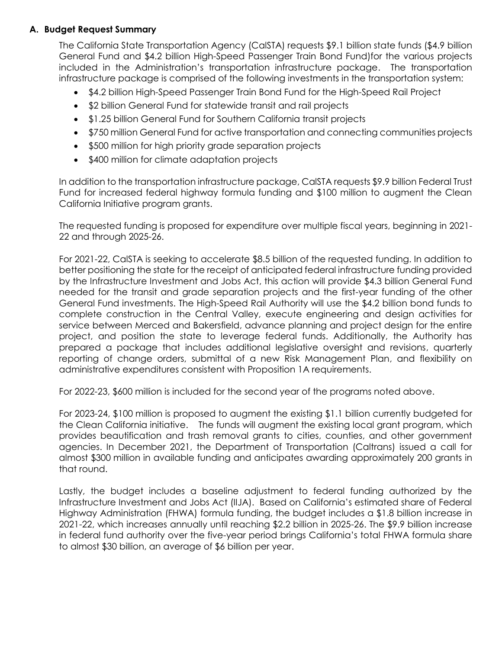## **A. Budget Request Summary**

 The California State Transportation Agency (CalSTA) requests \$9.1 billion state funds (\$4.9 billion included in the Administration's transportation infrastructure package. The transportation General Fund and \$4.2 billion High-Speed Passenger Train Bond Fund)for the various projects infrastructure package is comprised of the following investments in the transportation system:

- \$4.2 billion High-Speed Passenger Train Bond Fund for the High-Speed Rail Project
- \$2 billion General Fund for statewide transit and rail projects
- \$1.25 billion General Fund for Southern California transit projects
- \$750 million General Fund for active transportation and connecting communities projects
- \$500 million for high priority grade separation projects
- \$400 million for climate adaptation projects

 In addition to the transportation infrastructure package, CalSTA requests \$9.9 billion Federal Trust Fund for increased federal highway formula funding and \$100 million to augment the Clean California Initiative program grants.

 The requested funding is proposed for expenditure over multiple fiscal years, beginning in 2021- 22 and through 2025-26.

 For 2021-22, CalSTA is seeking to accelerate \$8.5 billion of the requested funding. In addition to by the Infrastructure Investment and Jobs Act, this action will provide \$4.3 billion General Fund General Fund investments. The High-Speed Rail Authority will use the \$4.2 billion bond funds to complete construction in the Central Valley, execute engineering and design activities for project, and position the state to leverage federal funds. Additionally, the Authority has prepared a package that includes additional legislative oversight and revisions, quarterly reporting of change orders, submittal of a new Risk Management Plan, and flexibility on administrative expenditures consistent with Proposition 1A requirements. better positioning the state for the receipt of anticipated federal infrastructure funding provided needed for the transit and grade separation projects and the first-year funding of the other service between Merced and Bakersfield, advance planning and project design for the entire

For 2022-23, \$600 million is included for the second year of the programs noted above.

 the Clean California initiative. The funds will augment the existing local grant program, which provides beautification and trash removal grants to cities, counties, and other government agencies. In December 2021, the Department of Transportation (Caltrans) issued a call for For 2023-24, \$100 million is proposed to augment the existing \$1.1 billion currently budgeted for almost \$300 million in available funding and anticipates awarding approximately 200 grants in that round.

 Lastly, the budget includes a baseline adjustment to federal funding authorized by the Infrastructure Investment and Jobs Act (IIJA). Based on California's estimated share of Federal 2021-22, which increases annually until reaching \$2.2 billion in 2025-26. The \$9.9 billion increase in federal fund authority over the five-year period brings California's total FHWA formula share to almost \$30 billion, an average of \$6 billion per year. Highway Administration (FHWA) formula funding, the budget includes a \$1.8 billion increase in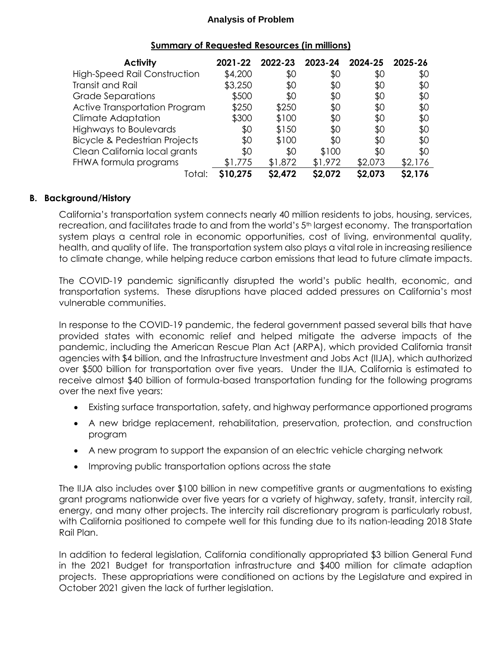| <b>Activity</b>                          | 2021-22  | 2022-23 | 2023-24 | 2024-25 | 2025-26 |
|------------------------------------------|----------|---------|---------|---------|---------|
| <b>High-Speed Rail Construction</b>      | \$4,200  | \$0     | \$0     | \$0     | \$0     |
| Transit and Rail                         | \$3,250  | \$0     | \$0     | \$0     | \$0     |
| <b>Grade Separations</b>                 | \$500    | \$0     | \$0     | \$0     | \$0     |
| Active Transportation Program            | \$250    | \$250   | \$0     | \$0     | \$0     |
| <b>Climate Adaptation</b>                | \$300    | \$100   | \$0     | \$0     | \$0     |
| <b>Highways to Boulevards</b>            | \$0      | \$150   | \$0     | \$0     | \$0     |
| <b>Bicycle &amp; Pedestrian Projects</b> | \$0      | \$100   | \$0     | \$0     | \$0     |
| Clean California local grants            | \$0      | \$0     | \$100   | \$0     | \$0     |
| FHWA formula programs                    | \$1,775  | \$1,872 | \$1,972 | \$2,073 | \$2,176 |
| Total:                                   | \$10,275 | \$2,472 | \$2,072 | \$2,073 | \$2,176 |

#### **Summary of Requested Resources (in millions)**

### **B. Background/History**

 California's transportation system connects nearly 40 million residents to jobs, housing, services, recreation, and facilitates trade to and from the world's 5<sup>th</sup> largest economy. The transportation system plays a central role in economic opportunities, cost of living, environmental quality, health, and quality of life. The transportation system also plays a vital role in increasing resilience to climate change, while helping reduce carbon emissions that lead to future climate impacts.

 The COVID-19 pandemic significantly disrupted the world's public health, economic, and transportation systems. These disruptions have placed added pressures on California's most vulnerable communities.

 In response to the COVID-19 pandemic, the federal government passed several bills that have provided states with economic relief and helped mitigate the adverse impacts of the agencies with \$4 billion, and the Infrastructure Investment and Jobs Act (IIJA), which authorized over \$500 billion for transportation over five years. Under the IIJA, California is estimated to pandemic, including the American Rescue Plan Act (ARPA), which provided California transit receive almost \$40 billion of formula-based transportation funding for the following programs over the next five years:

- Existing surface transportation, safety, and highway performance apportioned programs
- A new bridge replacement, rehabilitation, preservation, protection, and construction program
- A new program to support the expansion of an electric vehicle charging network
- Improving public transportation options across the state

 The IIJA also includes over \$100 billion in new competitive grants or augmentations to existing grant programs nationwide over five years for a variety of highway, safety, transit, intercity rail, energy, and many other projects. The intercity rail discretionary program is particularly robust, with California positioned to compete well for this funding due to its nation-leading 2018 State Rail Plan.

 In addition to federal legislation, California conditionally appropriated \$3 billion General Fund projects. These appropriations were conditioned on actions by the Legislature and expired in in the 2021 Budget for transportation infrastructure and \$400 million for climate adaption October 2021 given the lack of further legislation.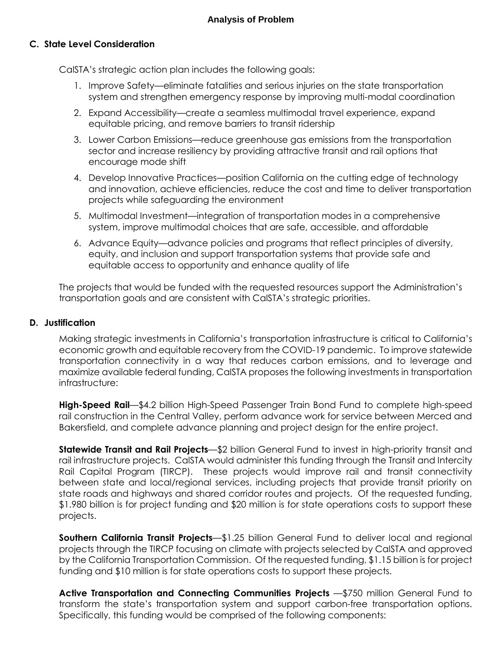## **C. State Level Consideration**

CalSTA's strategic action plan includes the following goals:

- 1. Improve Safety—eliminate fatalities and serious injuries on the state transportation system and strengthen emergency response by improving multi-modal coordination
- equitable pricing, and remove barriers to transit ridership 2. Expand Accessibility—create a seamless multimodal travel experience, expand
- 3. Lower Carbon Emissions—reduce greenhouse gas emissions from the transportation sector and increase resiliency by providing attractive transit and rail options that encourage mode shift
- and innovation, achieve efficiencies, reduce the cost and time to deliver transportation 4. Develop Innovative Practices—position California on the cutting edge of technology projects while safeguarding the environment
- 5. Multimodal Investment—integration of transportation modes in a comprehensive system, improve multimodal choices that are safe, accessible, and affordable
- equity, and inclusion and support transportation systems that provide safe and equitable access to opportunity and enhance quality of life 6. Advance Equity—advance policies and programs that reflect principles of diversity,

 transportation goals and are consistent with CalSTA's strategic priorities. The projects that would be funded with the requested resources support the Administration's

#### **D. Justification**

 economic growth and equitable recovery from the COVID-19 pandemic. To improve statewide transportation connectivity in a way that reduces carbon emissions, and to leverage and maximize available federal funding, CalSTA proposes the following investments in transportation Making strategic investments in California's transportation infrastructure is critical to California's infrastructure:

 rail construction in the Central Valley, perform advance work for service between Merced and **High-Speed Rail**—\$4.2 billion High-Speed Passenger Train Bond Fund to complete high-speed Bakersfield, and complete advance planning and project design for the entire project.

 **Statewide Transit and Rail Projects**—\$2 billion General Fund to invest in high-priority transit and Rail Capital Program (TIRCP). These projects would improve rail and transit connectivity between state and local/regional services, including projects that provide transit priority on state roads and highways and shared corridor routes and projects. Of the requested funding, \$1.980 billion is for project funding and \$20 million is for state operations costs to support these rail infrastructure projects. CalSTA would administer this funding through the Transit and Intercity projects.

 **Southern California Transit [Projects](https://Projects�$1.25)**—\$1.25 billion General Fund to deliver local and regional by the California Transportation Commission. Of the requested funding, \$1.15 billion is for project funding and \$10 million is for state operations costs to support these projects. projects through the TIRCP focusing on climate with projects selected by CalSTA and approved

 **Active Transportation and Connecting Communities Projects** —\$750 million General Fund to transform the state's transportation system and support carbon-free transportation options.<br>Specifically, this funding would be comprised of the following components: Specifically, this funding would be comprised of the following components: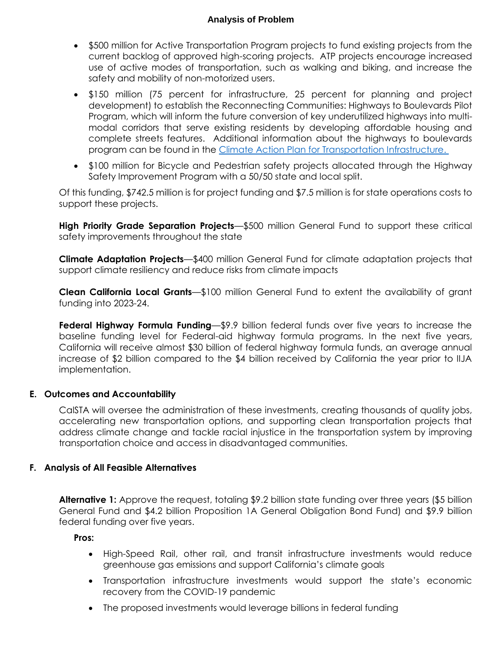- \$500 million for Active Transportation Program projects to fund existing projects from the current backlog of approved high-scoring projects. ATP projects encourage increased use of active modes of transportation, such as walking and biking, and increase the safety and mobility of non-motorized users.
- development) to establish the Reconnecting Communities: Highways to Boulevards Pilot Program, which will inform the future conversion of key underutilized highways into multi- modal corridors that serve existing residents by developing affordable housing and complete streets features. Additional information about the highways to boulevards \$150 million (75 percent for infrastructure, 25 percent for planning and project program can be found in the [Climate Action Plan for Transportation Infrastructure.](https://calsta.ca.gov/-/media/calsta-media/documents/capti-july-2021-a11y.pdf)
- \$100 million for Bicycle and Pedestrian safety projects allocated through the Highway Safety Improvement Program with a 50/50 state and local split.

 Of this funding, \$742.5 million is for project funding and \$7.5 million is for state operations costs to support these projects.

 **High Priority Grade Separation Projects**—\$500 million General Fund to support these critical safety improvements throughout the state

 **Climate Adaptation Projects**—\$400 million General Fund for climate adaptation projects that support climate resiliency and reduce risks from climate impacts

 **Clean California Local Grants**—\$100 million General Fund to extent the availability of grant funding into 2023-24.

**Federal Highway Formula Funding—\$9.9 billion federal funds over five years to increase the**  California will receive almost \$30 billion of federal highway formula funds, an average annual increase of \$2 billion compared to the \$4 billion received by California the year prior to IIJA baseline funding level for Federal-aid highway formula programs. In the next five years, implementation.

#### **E. Outcomes and Accountability**

 CalSTA will oversee the administration of these investments, creating thousands of quality jobs, accelerating new transportation options, and supporting clean transportation projects that address climate change and tackle racial injustice in the transportation system by improving transportation choice and access in disadvantaged communities.

#### **F. Analysis of All Feasible Alternatives**

 **Alternative 1:** Approve the request, totaling \$9.2 billion state funding over three years (\$5 billion General Fund and \$4.2 billion Proposition 1A General Obligation Bond Fund) and \$9.9 billion federal funding over five years.

**Pros:** 

- High-Speed Rail, other rail, and transit infrastructure investments would reduce greenhouse gas emissions and support California's climate goals
- recovery from the COVID-19 pandemic Transportation infrastructure investments would support the state's economic
- The proposed investments would leverage billions in federal funding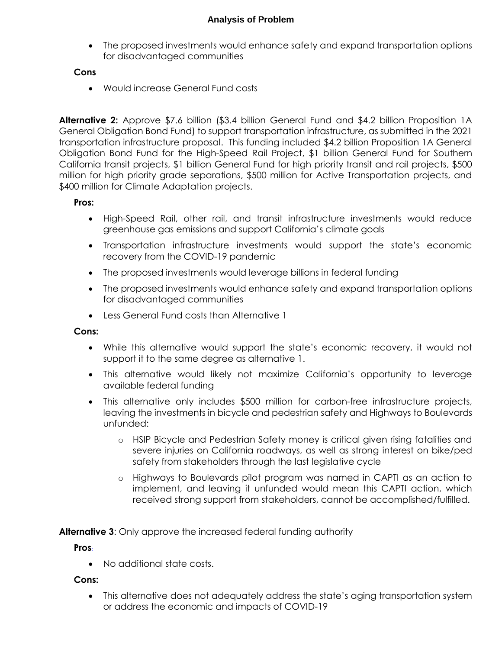The proposed investments would enhance safety and expand transportation options for disadvantaged communities

## **Cons**

Would increase General Fund costs

 General Obligation Bond Fund) to support transportation infrastructure, as submitted in the 2021 transportation infrastructure proposal. This funding included \$4.2 billion Proposition 1A General California transit projects, \$1 billion General Fund for high priority transit and rail projects, \$500 million for high priority grade separations, \$500 million for Active Transportation projects, and \$400 million for Climate Adaptation projects. **Alternative 2:** Approve \$7.6 billion (\$3.4 billion General Fund and \$4.2 billion Proposition 1A Obligation Bond Fund for the High-Speed Rail Project, \$1 billion General Fund for Southern

## **Pros:**

- High-Speed Rail, other rail, and transit infrastructure investments would reduce greenhouse gas emissions and support California's climate goals
- recovery from the COVID-19 pandemic Transportation infrastructure investments would support the state's economic
- The proposed investments would leverage billions in federal funding
- The proposed investments would enhance safety and expand transportation options for disadvantaged communities
- Less General Fund costs than Alternative 1

## **Cons:**

- While this alternative would support the state's economic recovery, it would not support it to the same degree as alternative 1.
- This alternative would likely not maximize California's opportunity to leverage available federal funding
- This alternative only includes \$500 million for carbon-free infrastructure projects, leaving the investments in bicycle and pedestrian safety and Highways to Boulevards unfunded:
	- o HSIP Bicycle and Pedestrian Safety money is critical given rising fatalities and severe injuries on California roadways, as well as strong interest on bike/ped safety from stakeholders through the last legislative cycle
	- o Highways to Boulevards pilot program was named in CAPTI as an action to implement, and leaving it unfunded would mean this CAPTI action, which received strong support from stakeholders, cannot be accomplished/fulfilled.

**Alternative 3**: Only approve the increased federal funding authority

## **Pros:**

No additional state costs.

## **Cons:**

 This alternative does not adequately address the state's aging transportation system or address the economic and impacts of COVID-19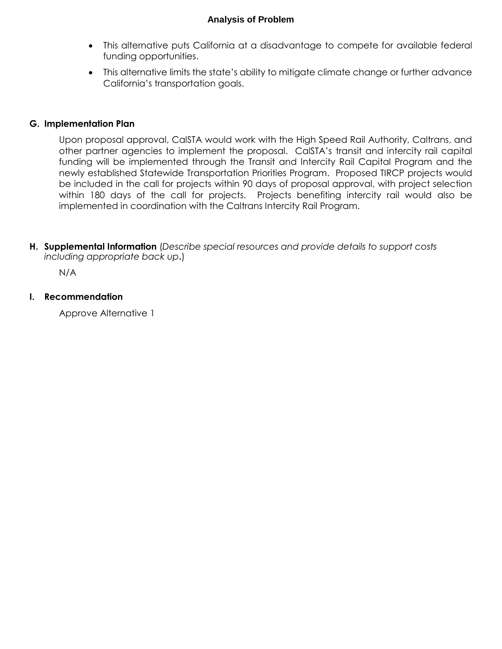- This alternative puts California at a disadvantage to compete for available federal funding opportunities.
- This alternative limits the state's ability to mitigate climate change or further advance California's transportation goals.

## **G. Implementation Plan**

 Upon proposal approval, CalSTA would work with the High Speed Rail Authority, Caltrans, and other partner agencies to implement the proposal. CalSTA's transit and intercity rail capital funding will be implemented through the Transit and Intercity Rail Capital Program and the newly established Statewide Transportation Priorities Program. Proposed TIRCP projects would be included in the call for projects within 90 days of proposal approval, with project selection within 180 days of the call for projects. Projects benefiting intercity rail would also be implemented in coordination with the Caltrans Intercity Rail Program.

 **H. Supplemental Information** (*Describe special resources and provide details to support costs including appropriate back up***.**)

N/A

#### **I. Recommendation**

Approve Alternative 1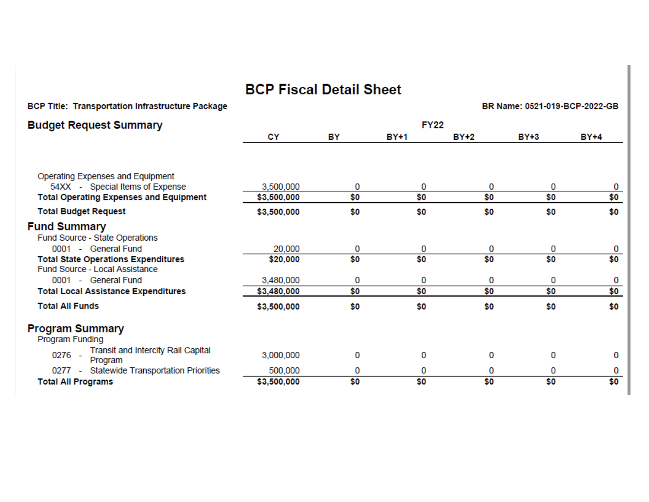# BCP Fiscal Detail Sheet

| BCP Title: Transportation infrastructure Package                             |             |     |             |             | BR Name, 0521-013-BCP-2022-GB |             |
|------------------------------------------------------------------------------|-------------|-----|-------------|-------------|-------------------------------|-------------|
| Budget Request Summary                                                       |             |     | <b>FY22</b> |             |                               |             |
|                                                                              | CY          | BY  | <b>BY+1</b> | <b>BY+2</b> | <b>BY+3</b>                   | <b>BY+4</b> |
|                                                                              |             |     |             |             |                               |             |
| Operating Expenses and Equipment                                             |             |     |             |             |                               |             |
| 54XX - Special Items of Expense                                              | 3,500,000   | 0   | 0           | 0           | 0                             | 0           |
| <b>Total Operating Expenses and Equipment</b>                                | \$3,500,000 | \$0 | \$0         | \$0         | \$0                           | \$0         |
| <b>Total Budget Request</b>                                                  | \$3,500,000 | \$0 | \$0         | \$0         | \$0                           | \$0         |
| <b>Fund Summary</b>                                                          |             |     |             |             |                               |             |
| Fund Source - State Operations                                               |             |     |             |             |                               |             |
| 0001 - General Fund                                                          | 20,000      | 0   | 0           | 0           | 0                             | 0           |
| <b>Total State Operations Expenditures</b><br>Fund Source - Local Assistance | \$20,000    | \$0 | \$0         | \$0         | \$0                           | \$0         |
| 0001 - General Fund                                                          | 3,480,000   | 0   | 0           | 0           | 0                             | 0           |
| <b>Total Local Assistance Expenditures</b>                                   | \$3,480,000 | \$0 | \$0         | \$0         | \$0                           | \$0         |
| <b>Total All Funds</b>                                                       | \$3,500,000 | \$0 | \$0         | \$0         | \$0                           | \$0         |
| Program Summary<br><b>Program Funding</b>                                    |             |     |             |             |                               |             |
| <b>Transit and Intercity Rail Capital</b><br>0276 -<br>Program               | 3,000,000   | 0   | 0           | 0           | 0                             | 0           |
| 0277 - Statewide Transportation Priorities                                   | 500,000     | 0   | 0           | 0           | 0                             | 0           |
| <b>Total All Programs</b>                                                    | \$3,500,000 | \$0 | \$0         | \$0         | \$0                           | \$0         |
|                                                                              |             |     |             |             |                               |             |

Title: Transportation Infrastructure Package

## BB Name: 0521-019-BCP-2022-CB-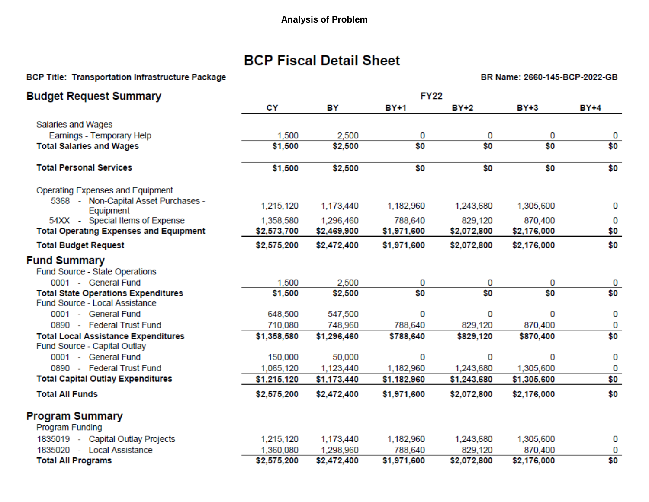## **BCP Fiscal Detail Sheet**

#### BCP Title: Transportation Infrastructure Package **BR** Name: 2660-145-BCP-2022-GB

| <b>Budget Request Summary</b>                                                | <b>FY22</b> |             |             |             |             |             |  |
|------------------------------------------------------------------------------|-------------|-------------|-------------|-------------|-------------|-------------|--|
|                                                                              | CY          | BY          | <b>BY+1</b> | <b>BY+2</b> | <b>BY+3</b> | <b>BY+4</b> |  |
| Salaries and Wages                                                           |             |             |             |             |             |             |  |
| Earnings - Temporary Help                                                    | 1,500       | 2,500       | 0           | 0           | 0           | 0           |  |
| <b>Total Salaries and Wages</b>                                              | \$1,500     | \$2,500     | \$0         | \$0         | \$0         | \$0         |  |
| <b>Total Personal Services</b>                                               | \$1,500     | \$2,500     | \$0         | \$0         | \$0         | \$0         |  |
| Operating Expenses and Equipment                                             |             |             |             |             |             |             |  |
| 5368 - Non-Capital Asset Purchases -<br>Equipment                            | 1,215,120   | 1,173,440   | 1,182,960   | 1,243,680   | 1,305,600   | 0           |  |
| 54XX - Special Items of Expense                                              | 1,358,580   | 1,296,460   | 788,640     | 829,120     | 870,400     | 0           |  |
| <b>Total Operating Expenses and Equipment</b>                                | \$2,573,700 | \$2,469,900 | \$1,971,600 | \$2,072,800 | \$2,176,000 | \$0         |  |
| <b>Total Budget Request</b>                                                  | \$2,575,200 | \$2,472,400 | \$1,971,600 | \$2,072,800 | \$2,176,000 | \$0         |  |
| <b>Fund Summary</b>                                                          |             |             |             |             |             |             |  |
| Fund Source - State Operations                                               |             |             |             |             |             |             |  |
| 0001 - General Fund                                                          | 1,500       | 2,500       | 0           | 0           | 0           | 0           |  |
| <b>Total State Operations Expenditures</b><br>Fund Source - Local Assistance | \$1,500     | \$2,500     | \$0         | \$0         | \$0         | \$0         |  |
| 0001 - General Fund                                                          | 648,500     | 547,500     | 0           | 0           | 0           | 0           |  |
| 0890 - Federal Trust Fund                                                    | 710,080     | 748,960     | 788,640     | 829,120     | 870,400     | 0           |  |
| <b>Total Local Assistance Expenditures</b><br>Fund Source - Capital Outlay   | \$1,358,580 | \$1,296,460 | \$788,640   | \$829,120   | \$870,400   | \$0         |  |
| 0001 - General Fund                                                          | 150,000     | 50,000      | 0           | 0           | 0           | 0           |  |
| 0890 - Federal Trust Fund                                                    | 1,065,120   | 1,123,440   | 1,182,960   | 1,243,680   | 1,305,600   | 0           |  |
| <b>Total Capital Outlay Expenditures</b>                                     | \$1,215,120 | \$1,173,440 | \$1,182,960 | \$1,243,680 | \$1,305,600 | \$0         |  |
| <b>Total All Funds</b>                                                       | \$2,575,200 | \$2,472,400 | \$1,971,600 | \$2,072,800 | \$2,176,000 | \$0         |  |
| <b>Program Summary</b>                                                       |             |             |             |             |             |             |  |
| <b>Program Funding</b>                                                       |             |             |             |             |             |             |  |
| 1835019 - Capital Outlay Projects                                            | 1,215,120   | 1,173,440   | 1,182,960   | 1,243,680   | 1,305,600   | 0           |  |
| 1835020 - Local Assistance                                                   | 1,360,080   | 1,298,960   | 788,640     | 829,120     | 870,400     | 0           |  |
| <b>Total All Programs</b>                                                    | \$2,575,200 | \$2,472,400 | \$1,971,600 | \$2,072,800 | \$2,176,000 | \$0         |  |